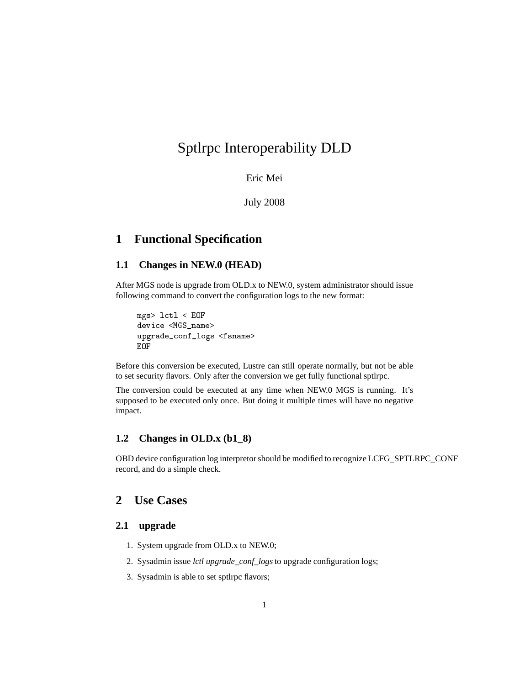# Sptlrpc Interoperability DLD

Eric Mei

July 2008

### **1 Functional Specification**

### **1.1 Changes in NEW.0 (HEAD)**

After MGS node is upgrade from OLD.x to NEW.0, system administrator should issue following command to convert the configuration logs to the new format:

mgs> lctl < EOF device <MGS\_name> upgrade\_conf\_logs <fsname> EOF

Before this conversion be executed, Lustre can still operate normally, but not be able to set security flavors. Only after the conversion we get fully functional sptlrpc.

The conversion could be executed at any time when NEW.0 MGS is running. It's supposed to be executed only once. But doing it multiple times will have no negative impact.

### **1.2 Changes in OLD.x (b1\_8)**

OBD device configuration log interpretor should be modified to recognize LCFG\_SPTLRPC\_CONF record, and do a simple check.

### **2 Use Cases**

### **2.1 upgrade**

- 1. System upgrade from OLD.x to NEW.0;
- 2. Sysadmin issue *lctl upgrade\_conf\_logs*to upgrade configuration logs;
- 3. Sysadmin is able to set sptlrpc flavors;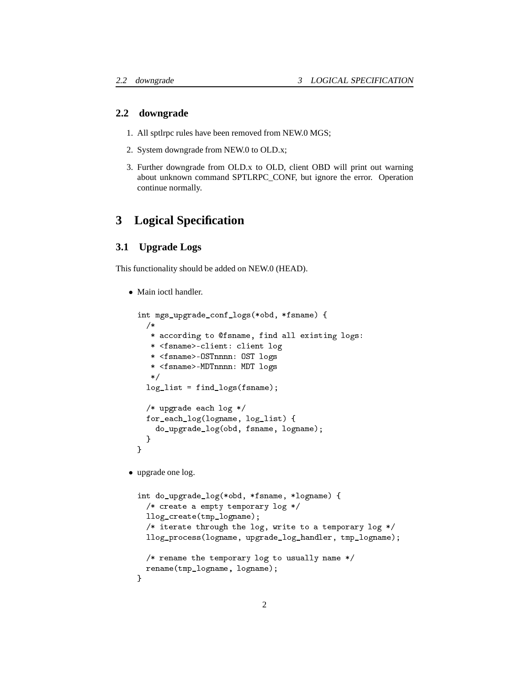### **2.2 downgrade**

- 1. All sptlrpc rules have been removed from NEW.0 MGS;
- 2. System downgrade from NEW.0 to OLD.x;
- 3. Further downgrade from OLD.x to OLD, client OBD will print out warning about unknown command SPTLRPC\_CONF, but ignore the error. Operation continue normally.

### **3 Logical Specification**

### **3.1 Upgrade Logs**

This functionality should be added on NEW.0 (HEAD).

• Main ioctl handler.

```
int mgs_upgrade_conf_logs(*obd, *fsname) {
   /*
    * according to @fsname, find all existing logs:
    * <fsname>-client: client log
    * <fsname>-OSTnnnn: OST logs
    * <fsname>-MDTnnnn: MDT logs
    */
   log_list = find_logs(fsname);/* upgrade each log */
   for_each_log(logname, log_list) {
      do_upgrade_log(obd, fsname, logname);
    }
  }
• upgrade one log.
 int do_upgrade_log(*obd, *fsname, *logname) {
   /* create a empty temporary log */
   llog_create(tmp_logname);
   /* iterate through the log, write to a temporary log */
   llog_process(logname, upgrade_log_handler, tmp_logname);
   /* rename the temporary log to usually name */
   rename(tmp_logname, logname);
 }
```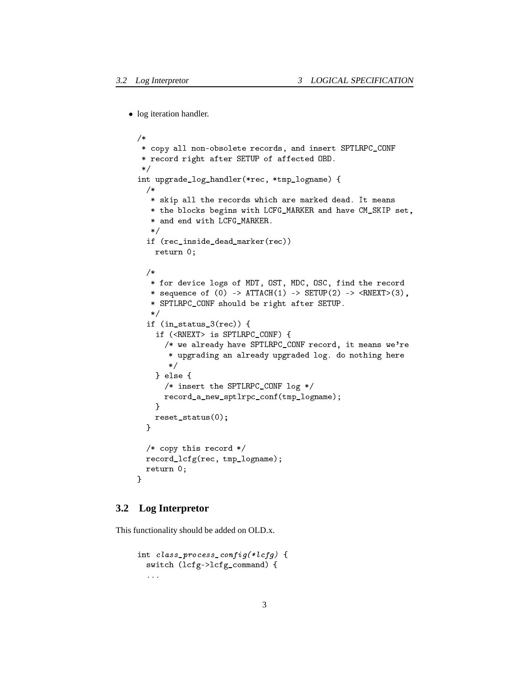• log iteration handler.

```
/*
 * copy all non-obsolete records, and insert SPTLRPC_CONF
 * record right after SETUP of affected OBD.
*/
int upgrade_log_handler(*rec, *tmp_logname) {
 /*
   * skip all the records which are marked dead. It means
   * the blocks begins with LCFG_MARKER and have CM_SKIP set,
   * and end with LCFG_MARKER.
   \ast/\overline{\phantom{a}}if (rec_inside_dead_marker(rec))
    return 0;
  /*/*
   * for device logs of MDT, OST, MDC, OSC, find the record
   * sequence of (0) -> ATTACH(1) -> SETUP(2) -> <RNEXT>(3),
   * SPTLRPC_CONF should be right after SETUP.
   */
  if (in_status_3(rec)) {
    if (<RNEXT> is SPTLRPC_CONF) {
      /* we already have SPTLRPC_CONF record, it means we're
       * upgrading an already upgraded log. do nothing here
       */
    } else {
      /* insert the SPTLRPC_CONF log */
      record_a_new_sptlrpc_conf(tmp_logname);
    <sup>}</sup>
    }
    reset_status(0);
  \mathcal{F}}
  /* copy this record */
 record_lcfg(rec, tmp_logname);
 return 0;
}
```
#### **3.2 Log Interpretor**

This functionality should be added on OLD.x.

```
int class_process_config(*lcfg) {
 switch (lcfg->lcfg_command) {
  ...
```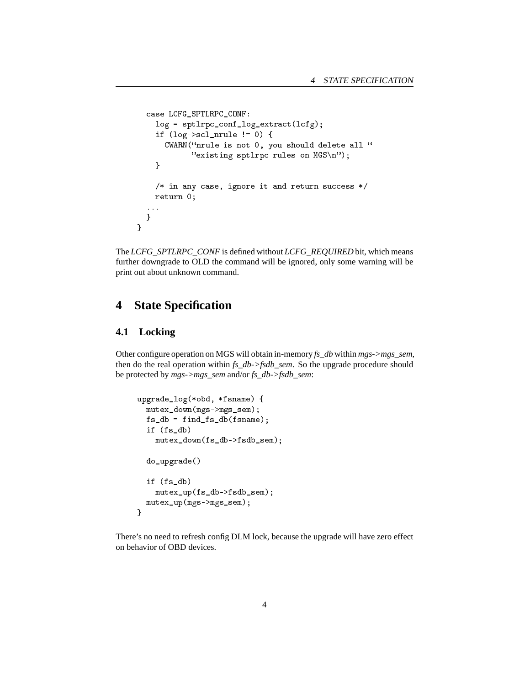```
case LCFG_SPTLRPC_CONF:
    log = sptlrpc_conf_log_extract(lcfg);
    if (log->scl_nrule != 0) {
     CWARN("nrule is not 0, you should delete all "
            "existing sptlrpc rules on MGS\n");
    \mathcal{F}}
    /* in any case, ignore it and return success */
    return 0;
  ...
 }
}
```
The *LCFG\_SPTLRPC\_CONF* is defined without *LCFG\_REQUIRED* bit, which means further downgrade to OLD the command will be ignored, only some warning will be print out about unknown command.

# **4 State Specification**

#### **4.1 Locking**

Other configure operation on MGS will obtain in-memory *fs\_db* within *mgs->mgs\_sem*, then do the real operation within *fs\_db->fsdb\_sem*. So the upgrade procedure should be protected by *mgs->mgs\_sem* and/or *fs\_db->fsdb\_sem*:

```
upgrade_log(*obd, *fsname) {
 mutex_down(mgs->mgs_sem);
 fs_db = find_fs_db(fsname);if (fs_db)
    mutex_down(fs_db->fsdb_sem);
 do_upgrade()
 if (fs_db)
   mutex_up(fs_db->fsdb_sem);
 mutex_up(mgs->mgs_sem);
}
```
There's no need to refresh config DLM lock, because the upgrade will have zero effect on behavior of OBD devices.